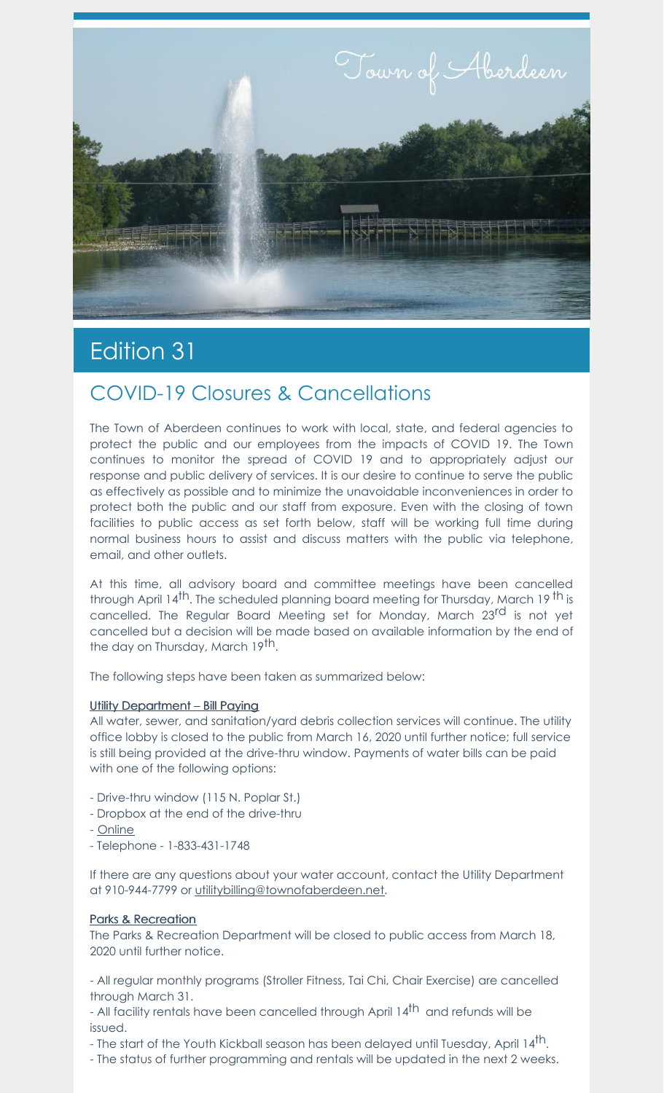

# Edition 31

## COVID-19 Closures & Cancellations

The Town of Aberdeen continues to work with local, state, and federal agencies to protect the public and our employees from the impacts of COVID 19. The Town continues to monitor the spread of COVID 19 and to appropriately adjust our response and public delivery of services. It is our desire to continue to serve the public as effectively as possible and to minimize the unavoidable inconveniences in order to protect both the public and our staff from exposure. Even with the closing of town facilities to public access as set forth below, staff will be working full time during normal business hours to assist and discuss matters with the public via telephone, email, and other outlets.

At this time, all advisory board and committee meetings have been cancelled through April 14<sup>th</sup>. The scheduled planning board meeting for Thursday, March 19 <sup>th</sup> is cancelled. The Regular Board Meeting set for Monday, March 23<sup>rd</sup> is not yet cancelled but a decision will be made based on available information by the end of the day on Thursday, March 19<sup>th</sup>.

The following steps have been taken as summarized below:

#### Utility Department – Bill Paying

All water, sewer, and sanitation/yard debris collection services will continue. The utility office lobby is closed to the public from March 16, 2020 until further notice; full service is still being provided at the drive-thru window. Payments of water bills can be paid with one of the following options:

- Drive-thru window (115 N. Poplar St.)
- Dropbox at the end of the drive-thru
- [Online](https://aberdeen.municipalcms.com/pview.aspx?id=3767&catID=70)
- Telephone 1-833-431-1748

If there are any questions about your water account, contact the Utility Department at 910-944-7799 or [utilitybilling@townofaberdeen.net](mailto:utilitybilling@townofaberdeen.net).

#### Parks & Recreation

The Parks & Recreation Department will be closed to public access from March 18, 2020 until further notice.

- All regular monthly programs (Stroller Fitness, Tai Chi, Chair Exercise) are cancelled through March 31.

- All facility rentals have been cancelled through April 14<sup>th</sup> and refunds will be issued.

- The start of the Youth Kickball season has been delayed until Tuesday, April 14 $^{\rm th}$ .

- The status of further programming and rentals will be updated in the next 2 weeks.